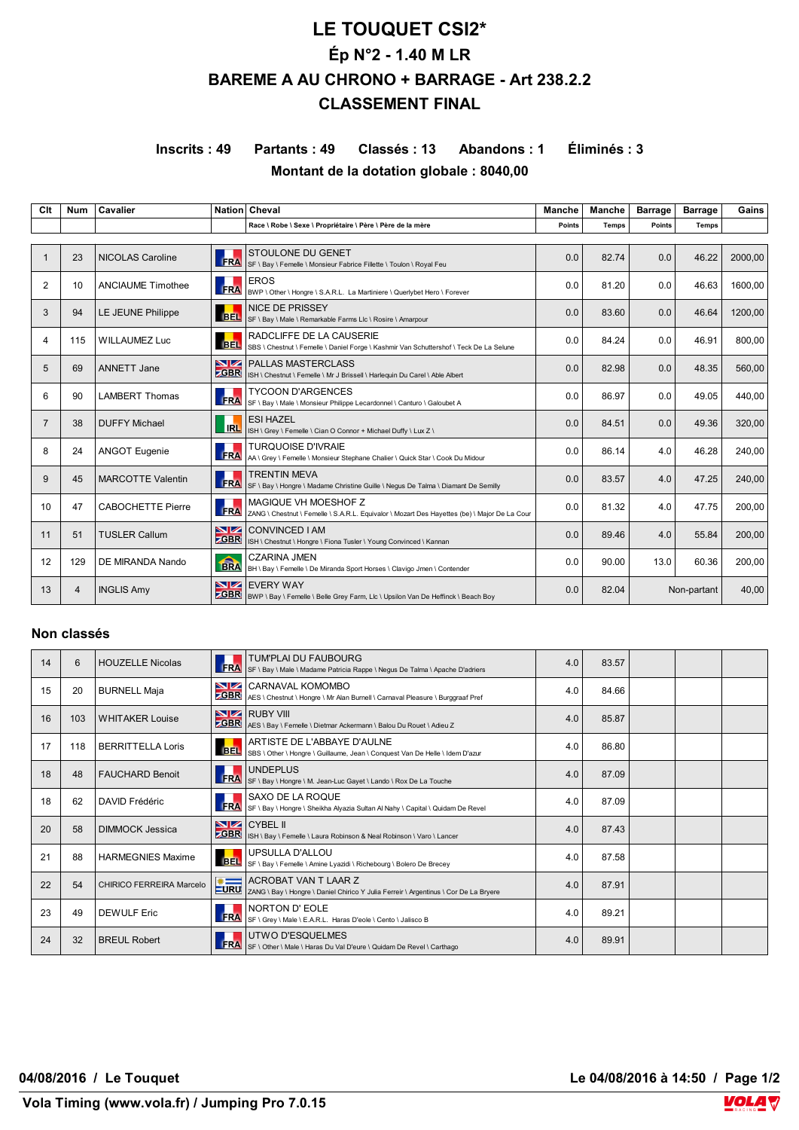# **LE TOUQUET CSI2\* Ép N°2 - 1.40 M LR BAREME A AU CHRONO + BARRAGE - Art 238.2.2 CLASSEMENT FINAL**

# **Inscrits : 49 Partants : 49 Classés : 13 Abandons : 1 Éliminés : 3 Montant de la dotation globale : 8040,00**

| Clt | <b>Num</b>     | Cavalier                 |                         | Nation Cheval                                                                                                        | Manche | Manche       | <b>Barrage</b> | <b>Barrage</b> | Gains   |
|-----|----------------|--------------------------|-------------------------|----------------------------------------------------------------------------------------------------------------------|--------|--------------|----------------|----------------|---------|
|     |                |                          |                         | Race \ Robe \ Sexe \ Propriétaire \ Père \ Père de la mère                                                           | Points | <b>Temps</b> | <b>Points</b>  | <b>Temps</b>   |         |
|     | 23             | <b>NICOLAS Caroline</b>  | <b>ERA</b>              | <b>STOULONE DU GENET</b><br>SF \ Bay \ Femelle \ Monsieur Fabrice Fillette \ Toulon \ Royal Feu                      | 0.0    | 82.74        | 0.0            | 46.22          | 2000.00 |
| 2   | 10             | <b>ANCIAUME Timothee</b> | <b>FRA</b>              | <b>EROS</b><br>BWP \ Other \ Hongre \ S.A.R.L. La Martiniere \ Querlybet Hero \ Forever                              | 0.0    | 81.20        | 0.0            | 46.63          | 1600.00 |
| 3   | 94             | LE JEUNE Philippe        | <b>BEL</b>              | <b>NICE DE PRISSEY</b><br>SF \ Bay \ Male \ Remarkable Farms Llc \ Rosire \ Amarpour                                 | 0.0    | 83.60        | 0.0            | 46.64          | 1200.00 |
| 4   | 115            | <b>WILLAUMEZ Luc</b>     | <b>BEL</b>              | RADCLIFFE DE LA CAUSERIE<br>SBS \ Chestnut \ Femelle \ Daniel Forge \ Kashmir Van Schuttershof \ Teck De La Selune   | 0.0    | 84.24        | 0.0            | 46.91          | 800.00  |
| 5   | 69             | <b>ANNETT Jane</b>       | NZ.<br><b>ZGBR</b>      | <b>PALLAS MASTERCLASS</b><br>ISH \ Chestnut \ Femelle \ Mr J Brissell \ Harlequin Du Carel \ Able Albert             | 0.0    | 82.98        | 0.0            | 48.35          | 560.00  |
| 6   | 90             | <b>LAMBERT Thomas</b>    | <b>FRA</b>              | <b>TYCOON D'ARGENCES</b><br>SF \ Bay \ Male \ Monsieur Philippe Lecardonnel \ Canturo \ Galoubet A                   | 0.0    | 86.97        | 0.0            | 49.05          | 440.00  |
|     | 38             | <b>DUFFY Michael</b>     | <b>IRL</b>              | <b>ESI HAZEL</b><br>ISH \ Grey \ Femelle \ Cian O Connor + Michael Duffy \ Lux Z \                                   | 0.0    | 84.51        | 0.0            | 49.36          | 320,00  |
| 8   | 24             | <b>ANGOT Eugenie</b>     | <b>FRA</b>              | <b>TURQUOISE D'IVRAIE</b><br>AA \ Grey \ Femelle \ Monsieur Stephane Chalier \ Quick Star \ Cook Du Midour           | 0.0    | 86.14        | 4.0            | 46.28          | 240.00  |
| 9   | 45             | <b>MARCOTTE Valentin</b> | <b>FRA</b>              | <b>TRENTIN MEVA</b><br>SF \ Bay \ Hongre \ Madame Christine Guille \ Negus De Talma \ Diamant De Semilly             | 0.0    | 83.57        | 4.0            | 47.25          | 240.00  |
| 10  | 47             | <b>CABOCHETTE Pierre</b> | <b>FRA</b>              | MAGIOUE VH MOESHOF Z<br>ZANG \ Chestnut \ Femelle \ S.A.R.L. Equivalor \ Mozart Des Hayettes (be) \ Major De La Cour | 0.0    | 81.32        | 4.0            | 47.75          | 200.00  |
| 11  | 51             | <b>TUSLER Callum</b>     | <b>NZ</b><br><b>GBR</b> | CONVINCED I AM<br>ISH \ Chestnut \ Hongre \ Fiona Tusler \ Young Convinced \ Kannan                                  | 0.0    | 89.46        | 4.0            | 55.84          | 200,00  |
| 12  | 129            | DE MIRANDA Nando         | <b>RRA</b>              | <b>CZARINA JMEN</b><br>BH \ Bay \ Femelle \ De Miranda Sport Horses \ Clavigo Jmen \ Contender                       | 0.0    | 90.00        | 13.0           | 60.36          | 200.00  |
| 13  | $\overline{4}$ | <b>INGLIS Amy</b>        | NZ.<br><b>GBR</b>       | <b>EVERY WAY</b><br>BWP \ Bay \ Femelle \ Belle Grey Farm, Llc \ Upsilon Van De Heffinck \ Beach Boy                 | 0.0    | 82.04        |                | Non-partant    | 40,00   |

#### **Non classés**

| 14 | 6   | <b>HOUZELLE Nicolas</b>  | FRA                     | TUM'PLAI DU FAUBOURG<br>SF \ Bay \ Male \ Madame Patricia Rappe \ Negus De Talma \ Apache D'adriers                 | 4.0 | 83.57 |  |  |
|----|-----|--------------------------|-------------------------|---------------------------------------------------------------------------------------------------------------------|-----|-------|--|--|
| 15 | 20  | <b>BURNELL Maja</b>      | <b>ZGBR</b>             | <b>NZ CARNAVAL KOMOMBO</b><br>AES \ Chestnut \ Hongre \ Mr Alan Burnell \ Carnaval Pleasure \ Burggraaf Pref        | 4.0 | 84.66 |  |  |
| 16 | 103 | <b>WHITAKER Louise</b>   |                         | <b>NZ</b> RUBY VIII<br>ZGBR AES \ Bay \ Femelle \ Dietmar Ackermann \ Balou Du Rouet \ Adieu Z                      | 4.0 | 85.87 |  |  |
| 17 | 118 | <b>BERRITTELLA Loris</b> | BEL.                    | ARTISTE DE L'ABBAYE D'AULNE<br>SBS \ Other \ Hongre \ Guillaume, Jean \ Conquest Van De Helle \ Idem D'azur         | 4.0 | 86.80 |  |  |
| 18 | 48  | <b>FAUCHARD Benoit</b>   | FRA                     | <b>UNDEPLUS</b><br>SF \ Bay \ Hongre \ M. Jean-Luc Gayet \ Lando \ Rox De La Touche                                 | 4.0 | 87.09 |  |  |
| 18 | 62  | DAVID Frédéric           | FRA                     | SAXO DE LA ROQUE<br>SF \ Bay \ Hongre \ Sheikha Alyazia Sultan Al Nahy \ Capital \ Quidam De Revel                  | 4.0 | 87.09 |  |  |
| 20 | 58  | DIMMOCK Jessica          | <b>GBR</b>              | <b>NZ</b> CYBEL II<br>ISH \ Bay \ Femelle \ Laura Robinson & Neal Robinson \ Varo \ Lancer                          | 4.0 | 87.43 |  |  |
| 21 | 88  | <b>HARMEGNIES Maxime</b> | <b>BEL</b>              | UPSULLA D'ALLOU<br>SF \ Bay \ Femelle \ Amine Lyazidi \ Richebourg \ Bolero De Brecey                               | 4.0 | 87.58 |  |  |
| 22 | 54  | CHIRICO FERREIRA Marcelo | $\ast =$<br><b>LURU</b> | <b>ACROBAT VAN T LAAR Z</b><br>ZANG \ Bay \ Hongre \ Daniel Chirico Y Julia Ferreir \ Argentinus \ Cor De La Bryere | 4.0 | 87.91 |  |  |
| 23 | 49  | <b>DEWULF Eric</b>       | <b>FRA</b>              | <b>NORTON D'EOLE</b><br>SF \ Grey \ Male \ E.A.R.L. Haras D'eole \ Cento \ Jalisco B                                | 4.0 | 89.21 |  |  |
| 24 | 32  | <b>BREUL Robert</b>      | <b>FRA</b>              | UTWO D'ESQUELMES<br>SF \ Other \ Male \ Haras Du Val D'eure \ Quidam De Revel \ Carthago                            | 4.0 | 89.91 |  |  |

**04/08/2016 / Le Touquet Le 04/08/2016 à 14:50 / Page 1/2**